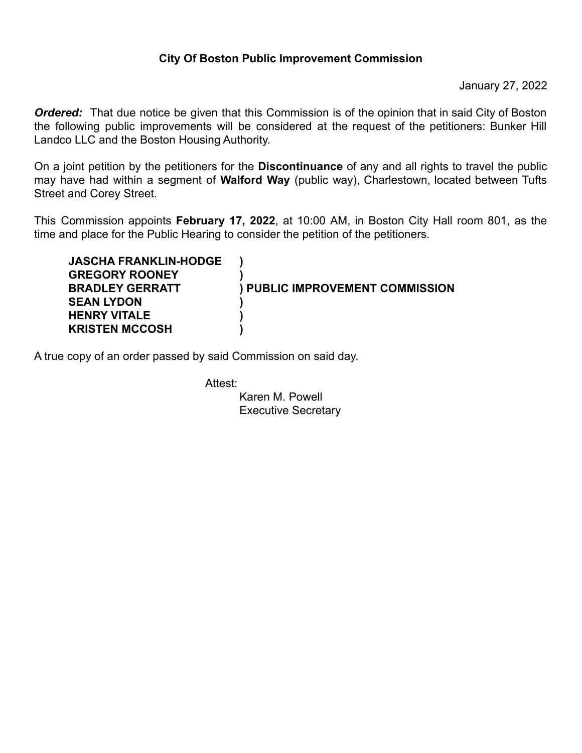## **City Of Boston Public Improvement Commission**

January 27, 2022

**Ordered:** That due notice be given that this Commission is of the opinion that in said City of Boston the following public improvements will be considered at the request of the petitioners: Bunker Hill Landco LLC and the Boston Housing Authority.

On a joint petition by the petitioners for the **Discontinuance** of any and all rights to travel the public may have had within a segment of **Walford Way** (public way), Charlestown, located between Tufts Street and Corey Street.

This Commission appoints **February 17, 2022**, at 10:00 AM, in Boston City Hall room 801, as the time and place for the Public Hearing to consider the petition of the petitioners.

| <b>JASCHA FRANKLIN-HODGE</b> |                                        |
|------------------------------|----------------------------------------|
| <b>GREGORY ROONEY</b>        |                                        |
| <b>BRADLEY GERRATT</b>       | <b>) PUBLIC IMPROVEMENT COMMISSION</b> |
| <b>SEAN LYDON</b>            |                                        |
| <b>HENRY VITALE</b>          |                                        |
| <b>KRISTEN MCCOSH</b>        |                                        |

A true copy of an order passed by said Commission on said day.

Attest:

Karen M. Powell Executive Secretary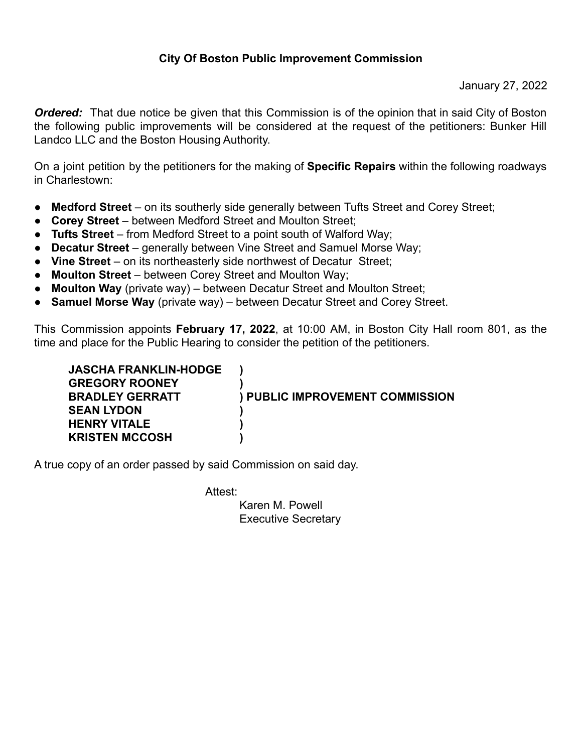## **City Of Boston Public Improvement Commission**

January 27, 2022

*Ordered:* That due notice be given that this Commission is of the opinion that in said City of Boston the following public improvements will be considered at the request of the petitioners: Bunker Hill Landco LLC and the Boston Housing Authority.

On a joint petition by the petitioners for the making of **Specific Repairs** within the following roadways in Charlestown:

- **Medford Street** on its southerly side generally between Tufts Street and Corey Street;
- **Corey Street** between Medford Street and Moulton Street;
- **Tufts Street** from Medford Street to a point south of Walford Way;
- **Decatur Street** generally between Vine Street and Samuel Morse Way;
- **Vine Street** on its northeasterly side northwest of Decatur Street;
- **Moulton Street** between Corey Street and Moulton Way;
- **Moulton Way** (private way) between Decatur Street and Moulton Street;
- **Samuel Morse Way** (private way) between Decatur Street and Corey Street.

This Commission appoints **February 17, 2022**, at 10:00 AM, in Boston City Hall room 801, as the time and place for the Public Hearing to consider the petition of the petitioners.

| <b>JASCHA FRANKLIN-HODGE</b> |                                        |
|------------------------------|----------------------------------------|
| <b>GREGORY ROONEY</b>        |                                        |
| <b>BRADLEY GERRATT</b>       | <b>) PUBLIC IMPROVEMENT COMMISSION</b> |
| <b>SEAN LYDON</b>            |                                        |
| <b>HENRY VITALE</b>          |                                        |
| <b>KRISTEN MCCOSH</b>        |                                        |
|                              |                                        |

A true copy of an order passed by said Commission on said day.

Attest:

Karen M. Powell Executive Secretary